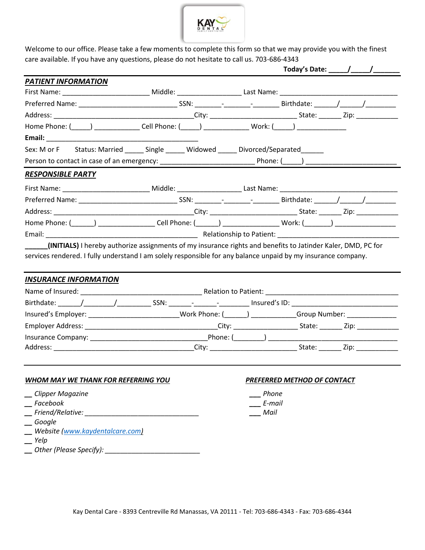

Welcome to our office. Please take a few moments to complete this form so that we may provide you with the finest care available. If you have any questions, please do not hesitate to call us. 703-686-4343

| <b>PATIENT INFORMATION</b>                                                                                      |  |        |                             |  |
|-----------------------------------------------------------------------------------------------------------------|--|--------|-----------------------------|--|
|                                                                                                                 |  |        |                             |  |
|                                                                                                                 |  |        |                             |  |
|                                                                                                                 |  |        |                             |  |
|                                                                                                                 |  |        |                             |  |
| Email: 2008. 2009. 2009. 2009. 2009. 2009. 2009. 2009. 2009. 2009. 2009. 2009. 2009. 2009. 2009. 2009. 2009. 20 |  |        |                             |  |
| Sex: M or F Status: Married ______ Single _____ Widowed _____ Divorced/Separated _____                          |  |        |                             |  |
|                                                                                                                 |  |        |                             |  |
| <b>RESPONSIBLE PARTY</b>                                                                                        |  |        |                             |  |
|                                                                                                                 |  |        |                             |  |
|                                                                                                                 |  |        |                             |  |
|                                                                                                                 |  |        |                             |  |
| Home Phone: (______) ___________________Cell Phone: (______) ___________________Work: (_______) ______________  |  |        |                             |  |
|                                                                                                                 |  |        |                             |  |
| <b>INSURANCE INFORMATION</b>                                                                                    |  |        |                             |  |
|                                                                                                                 |  |        |                             |  |
|                                                                                                                 |  |        |                             |  |
| Insured's Employer: ____________________________Work Phone: (______) ___________Group Number: _______________   |  |        |                             |  |
|                                                                                                                 |  |        |                             |  |
|                                                                                                                 |  |        |                             |  |
|                                                                                                                 |  |        |                             |  |
| <b>WHOM MAY WE THANK FOR REFERRING YOU</b>                                                                      |  |        | PREFERRED METHOD OF CONTACT |  |
| Clipper Magazine                                                                                                |  | Phone  |                             |  |
| Facebook                                                                                                        |  | E-mail |                             |  |
| Friend/Relative:                                                                                                |  | Mail   |                             |  |
| Google                                                                                                          |  |        |                             |  |
| Website (www.kaydentalcare.com)<br>Yelp                                                                         |  |        |                             |  |
|                                                                                                                 |  |        |                             |  |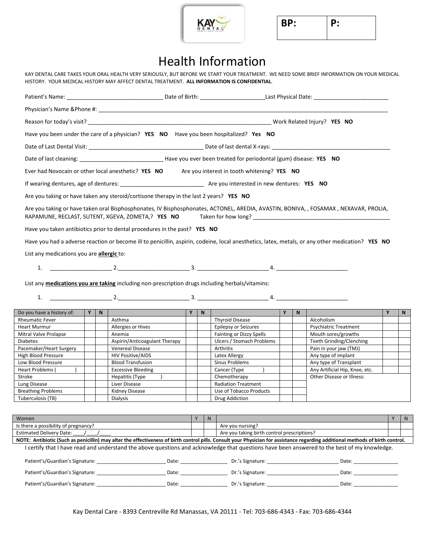

**BP: P:**

# Health Information

KAY DENTAL CARE TAKES YOUR ORAL HEALTH VERY SERIOUSLY, BUT BEFORE WE START YOUR TREATMENT. WE NEED SOME BRIEF INFORMATION ON YOUR MEDICAL HISTORY. YOUR MEDICAL HISTORY MAY AFFECT DENTAL TREATMENT. **ALL INFORMATION IS CONFIDENTIAL**.

|                                                |  |     | Have you been under the care of a physician? YES NO Have you been hospitalized? Yes NO                                                                                                                        |       |                                             |   |              |                                |   |                |
|------------------------------------------------|--|-----|---------------------------------------------------------------------------------------------------------------------------------------------------------------------------------------------------------------|-------|---------------------------------------------|---|--------------|--------------------------------|---|----------------|
|                                                |  |     |                                                                                                                                                                                                               |       |                                             |   |              |                                |   |                |
|                                                |  |     |                                                                                                                                                                                                               |       |                                             |   |              |                                |   |                |
|                                                |  |     | Ever had Novocain or other local anesthetic? YES NO Are you interest in tooth whitening? YES NO                                                                                                               |       |                                             |   |              |                                |   |                |
|                                                |  |     |                                                                                                                                                                                                               |       |                                             |   |              |                                |   |                |
|                                                |  |     | Are you taking or have taken any steroid/cortisone therapy in the last 2 years? YES NO                                                                                                                        |       |                                             |   |              |                                |   |                |
|                                                |  |     | Are you taking or have taken oral Bisphosphonates, IV Bisphosphonates, ACTONEL, AREDIA, AVASTIN, BONIVA, , FOSAMAX, NEXAVAR, PROLIA,<br>RAPAMUNE, RECLAST, SUTENT, XGEVA, ZOMETA,? YES NO Taken for how long? |       |                                             |   |              |                                |   |                |
|                                                |  |     | Have you taken antibiotics prior to dental procedures in the past? YES NO                                                                                                                                     |       |                                             |   |              |                                |   |                |
|                                                |  |     | Have you had a adverse reaction or become ill to penicillin, aspirin, codeine, local anesthetics, latex, metals, or any other medication? YES NO                                                              |       |                                             |   |              |                                |   |                |
| List any medications you are allergic to:      |  |     |                                                                                                                                                                                                               |       |                                             |   |              |                                |   |                |
|                                                |  |     |                                                                                                                                                                                                               |       |                                             |   |              |                                |   |                |
|                                                |  |     | List any <b>medications you are taking</b> including non-prescription drugs including herbals/vitamins:                                                                                                       |       |                                             |   |              |                                |   |                |
| 1.                                             |  |     |                                                                                                                                                                                                               |       |                                             |   |              |                                |   |                |
|                                                |  |     |                                                                                                                                                                                                               |       |                                             |   |              |                                |   |                |
| Do you have a history of:                      |  | Y N |                                                                                                                                                                                                               | $Y$ N |                                             | Y | $\mathbf{N}$ |                                | Y | N              |
| <b>Rheumatic Fever</b>                         |  |     | Asthma                                                                                                                                                                                                        |       | <b>Thyroid Disease</b>                      |   |              | Alcoholism                     |   |                |
| <b>Heart Murmur</b>                            |  |     | Allergies or Hives                                                                                                                                                                                            |       | Epilepsy or Seizures                        |   |              | <b>Psychiatric Treatment</b>   |   |                |
| Mitral Valve Prolapse                          |  |     | Anemia                                                                                                                                                                                                        |       | <b>Fainting or Dizzy Spells</b>             |   |              | Mouth sores/growths            |   |                |
| <b>Diabetes</b>                                |  |     | Aspirin/Anticoagulant Therapy                                                                                                                                                                                 |       | Ulcers / Stomach Problems                   |   |              | Teeth Grinding/Clenching       |   |                |
| Pacemaker/Heart Surgery                        |  |     | Venereal Disease                                                                                                                                                                                              |       | Arthritis                                   |   |              | Pain in your jaw (TMJ)         |   |                |
| High Blood Pressure                            |  |     | <b>HIV Positive/AIDS</b>                                                                                                                                                                                      |       | Latex Allergy                               |   |              | Any type of implant            |   |                |
| Low Blood Pressure                             |  |     | <b>Blood Transfusion</b>                                                                                                                                                                                      |       | Sinus Problems                              |   |              | Any type of Transplant         |   |                |
| Heart Problems (                               |  |     | <b>Excessive Bleeding</b>                                                                                                                                                                                     |       | Cancer (Type                                |   |              | Any Artificial Hip, Knee, etc. |   |                |
| Stroke                                         |  |     | Hepatitis (Type                                                                                                                                                                                               |       | Chemotherapy                                |   |              | Other Disease or Illness:      |   |                |
| Lung Disease                                   |  |     | Liver Disease                                                                                                                                                                                                 |       | <b>Radiation Treatment</b>                  |   |              |                                |   |                |
| <b>Breathing Problems</b><br>Tuberculosis (TB) |  |     | Kidney Disease<br>Dialysis                                                                                                                                                                                    |       | Use of Tobacco Products<br>Drug Addiction   |   |              |                                |   |                |
|                                                |  |     |                                                                                                                                                                                                               |       |                                             |   |              |                                |   |                |
|                                                |  |     |                                                                                                                                                                                                               |       |                                             |   |              |                                |   |                |
| Women                                          |  |     |                                                                                                                                                                                                               | Y     | N                                           |   |              |                                | Y | $\overline{N}$ |
| Is there a possibility of pregnancy?           |  |     |                                                                                                                                                                                                               |       | Are you nursing?                            |   |              |                                |   |                |
| Estimated Delivery Date: /                     |  |     |                                                                                                                                                                                                               |       | Are you taking birth control prescriptions? |   |              |                                |   |                |
|                                                |  |     | NOTE: Antibiotic (Such as penicillin) may alter the effectiveness of birth control pills. Consult your Physician for assistance regarding additional methods of birth control.                                |       |                                             |   |              |                                |   |                |

I certify that I have read and understand the above questions and acknowledge that questions have been answered to the best of my knowledge.

| Patient's/Guardian's Signature: | Date: | Dr.'s Signature: | Date              |
|---------------------------------|-------|------------------|-------------------|
| Patient's/Guardian's Signature: | Date: | Dr.'s Signature: | Date <sup>.</sup> |
| Patient's/Guardian's Signature: | Date: | Dr.'s Signature: | Date              |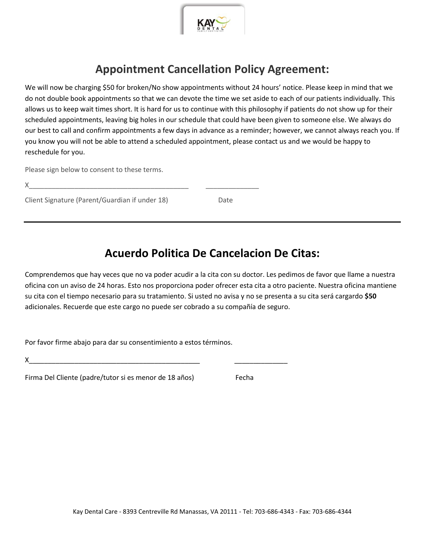

## **Appointment Cancellation Policy Agreement:**

We will now be charging \$50 for broken/No show appointments without 24 hours' notice. Please keep in mind that we do not double book appointments so that we can devote the time we set aside to each of our patients individually. This allows us to keep wait times short. It is hard for us to continue with this philosophy if patients do not show up for their scheduled appointments, leaving big holes in our schedule that could have been given to someone else. We always do our best to call and confirm appointments a few days in advance as a reminder; however, we cannot always reach you. If you know you will not be able to attend a scheduled appointment, please contact us and we would be happy to reschedule for you.

Please sign below to consent to these terms.

Client Signature (Parent/Guardian if under 18) Date

### **Acuerdo Politica De Cancelacion De Citas:**

Comprendemos que hay veces que no va poder acudir a la cita con su doctor. Les pedimos de favor que llame a nuestra oficina con un aviso de 24 horas. Esto nos proporciona poder ofrecer esta cita a otro paciente. Nuestra oficina mantiene su cita con el tiempo necesario para su tratamiento. Si usted no avisa y no se presenta a su cita será cargardo **\$50** adicionales. Recuerde que este cargo no puede ser cobrado a su compañía de seguro.

Por favor firme abajo para dar su consentimiento a estos términos.

X\_\_\_\_\_\_\_\_\_\_\_\_\_\_\_\_\_\_\_\_\_\_\_\_\_\_\_\_\_\_\_\_\_\_\_\_\_\_\_\_\_\_\_\_\_ \_\_\_\_\_\_\_\_\_\_\_\_\_\_

Firma Del Cliente (padre/tutor si es menor de 18 años) Fecha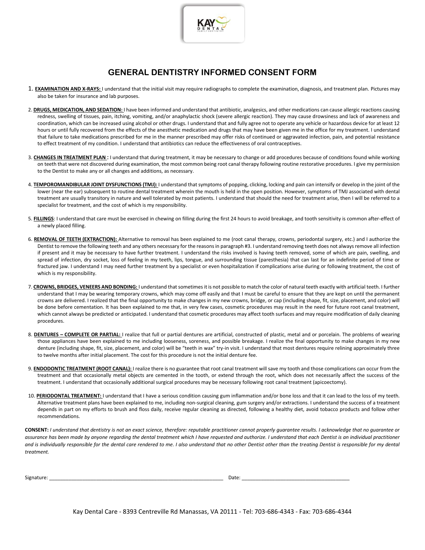

### **GENERAL DENTISTRY INFORMED CONSENT FORM**

- 1. **EXAMINATION AND X-RAYS:** I understand that the initial visit may require radiographs to complete the examination, diagnosis, and treatment plan. Pictures may also be taken for insurance and lab purposes.
- 2. **DRUGS, MEDICATION, AND SEDATION:** I have been informed and understand that antibiotic, analgesics, and other medications can cause allergic reactions causing redness, swelling of tissues, pain, itching, vomiting, and/or anaphylactic shock (severe allergic reaction). They may cause drowsiness and lack of awareness and coordination, which can be increased using alcohol or other drugs. I understand that and fully agree not to operate any vehicle or hazardous device for at least 12 hours or until fully recovered from the effects of the anesthetic medication and drugs that may have been given me in the office for my treatment. I understand that failure to take medications prescribed for me in the manner prescribed may offer risks of continued or aggravated infection, pain, and potential resistance to effect treatment of my condition. I understand that antibiotics can reduce the effectiveness of oral contraceptives.
- 3. **CHANGES IN TREATMENT PLAN :** I understand that during treatment, it may be necessary to change or add procedures because of conditions found while working on teeth that were not discovered during examination, the most common being root canal therapy following routine restorative procedures. I give my permission to the Dentist to make any or all changes and additions, as necessary.
- 4. **TEMPOROMANDIBULAR JOINT DYSFUNCTIONS (TMJ):** I understand that symptoms of popping, clicking, locking and pain can intensify or develop in the joint of the lower (near the ear) subsequent to routine dental treatment wherein the mouth is held in the open position. However, symptoms of TMJ associated with dental treatment are usually transitory in nature and well tolerated by most patients. I understand that should the need for treatment arise, then I will be referred to a specialist for treatment, and the cost of which is my responsibility.
- 5. **FILLINGS**: I understand that care must be exercised in chewing on filling during the first 24 hours to avoid breakage, and tooth sensitivity is common after-effect of a newly placed filling.
- 6. **REMOVAL OF TEETH (EXTRACTION):** Alternative to removal has been explained to me (root canal therapy, crowns, periodontal surgery, etc.) and I authorize the Dentist to remove the following teeth and any others necessary for the reasons in paragraph #3. I understand removing teeth does not always remove all infection if present and it may be necessary to have further treatment. I understand the risks involved is having teeth removed, some of which are pain, swelling, and spread of infection, dry socket, loss of feeling in my teeth, lips, tongue, and surrounding tissue (paresthesia) that can last for an indefinite period of time or fractured jaw. I understand I may need further treatment by a specialist or even hospitalization if complications arise during or following treatment, the cost of which is my responsibility.
- 7. **CROWNS, BRIDGES, VENEERS AND BONDING:** I understand that sometimes it is not possible to match the color of natural teeth exactly with artificial teeth. I further understand that I may be wearing temporary crowns, which may come off easily and that I must be careful to ensure that they are kept on until the permanent crowns are delivered. I realized that the final opportunity to make changes in my new crowns, bridge, or cap (including shape, fit, size, placement, and color) will be done before cementation. It has been explained to me that, in very few cases, cosmetic procedures may result in the need for future root canal treatment, which cannot always be predicted or anticipated. I understand that cosmetic procedures may affect tooth surfaces and may require modification of daily cleaning procedures.
- 8. **DENTURES – COMPLETE OR PARTIAL:** I realize that full or partial dentures are artificial, constructed of plastic, metal and or porcelain. The problems of wearing those appliances have been explained to me including looseness, soreness, and possible breakage. I realize the final opportunity to make changes in my new denture (including shape, fit, size, placement, and color) will be "teeth in wax" try-in visit. I understand that most dentures require relining approximately three to twelve months after initial placement. The cost for this procedure is not the initial denture fee.
- 9. **ENDODONTIC TREATMENT (ROOT CANAL):** I realize there is no guarantee that root canal treatment will save my tooth and those complications can occur from the treatment and that occasionally metal objects are cemented in the tooth, or extend through the root, which does not necessarily affect the success of the treatment. I understand that occasionally additional surgical procedures may be necessary following root canal treatment (apicoectomy).
- 10. PERIODONTAL TREATMENT: I understand that I have a serious condition causing gum inflammation and/or bone loss and that it can lead to the loss of my teeth. Alternative treatment plans have been explained to me, including non-surgical cleaning, gum surgery and/or extractions. I understand the success of a treatment depends in part on my efforts to brush and floss daily, receive regular cleaning as directed, following a healthy diet, avoid tobacco products and follow other recommendations.

**CONSENT:** *I understand that dentistry is not an exact science, therefore: reputable practitioner cannot properly guarantee results. I acknowledge that no guarantee or assurance has been made by anyone regarding the dental treatment which I have requested and authorize. I understand that each Dentist is an individual practitioner*  and is individually responsible for the dental care rendered to me. I also understand that no other Dentist other than the treating Dentist is responsible for my dental *treatment.* 

| Signature: | Date |
|------------|------|
|            |      |

Kay Dental Care - 8393 Centreville Rd Manassas, VA 20111 - Tel: 703-686-4343 - Fax: 703-686-4344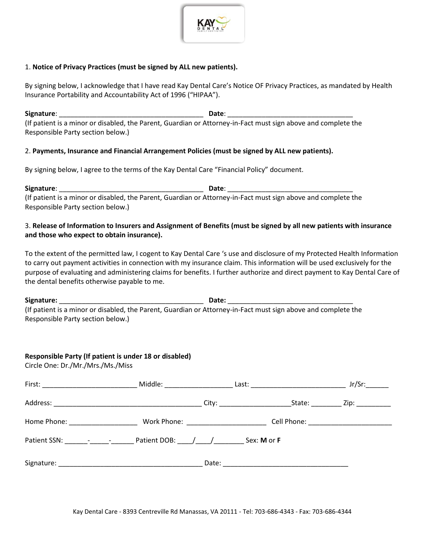

#### 1. **Notice of Privacy Practices (must be signed by ALL new patients).**

By signing below, I acknowledge that I have read Kay Dental Care's Notice OF Privacy Practices, as mandated by Health Insurance Portability and Accountability Act of 1996 ("HIPAA").

**Signature**: \_\_\_\_\_\_\_\_\_\_\_\_\_\_\_\_\_\_\_\_\_\_\_\_\_\_\_\_\_\_\_\_\_\_\_\_\_\_ **Date**: \_\_\_\_\_\_\_\_\_\_\_\_\_\_\_\_\_\_\_\_\_\_\_\_\_\_\_\_\_\_\_\_\_ (If patient is a minor or disabled, the Parent, Guardian or Attorney-in-Fact must sign above and complete the Responsible Party section below.)

#### 2. **Payments, Insurance and Financial Arrangement Policies (must be signed by ALL new patients).**

By signing below, I agree to the terms of the Kay Dental Care "Financial Policy" document.

**Signature**: \_\_\_\_\_\_\_\_\_\_\_\_\_\_\_\_\_\_\_\_\_\_\_\_\_\_\_\_\_\_\_\_\_\_\_\_\_\_ **Date**: \_\_\_\_\_\_\_\_\_\_\_\_\_\_\_\_\_\_\_\_\_\_\_\_\_\_\_\_\_\_\_\_\_ (If patient is a minor or disabled, the Parent, Guardian or Attorney-in-Fact must sign above and complete the Responsible Party section below.)

#### 3. **Release of Information to Insurers and Assignment of Benefits (must be signed by all new patients with insurance and those who expect to obtain insurance).**

To the extent of the permitted law, I cogent to Kay Dental Care 's use and disclosure of my Protected Health Information to carry out payment activities in connection with my insurance claim. This information will be used exclusively for the purpose of evaluating and administering claims for benefits. I further authorize and direct payment to Kay Dental Care of the dental benefits otherwise payable to me.

**Signature:** \_\_\_\_\_\_\_\_\_\_\_\_\_\_\_\_\_\_\_\_\_\_\_\_\_\_\_\_\_\_\_\_\_\_\_\_\_\_ **Date:** \_\_\_\_\_\_\_\_\_\_\_\_\_\_\_\_\_\_\_\_\_\_\_\_\_\_\_\_\_\_\_\_\_ (If patient is a minor or disabled, the Parent, Guardian or Attorney-in-Fact must sign above and complete the Responsible Party section below.)

#### **Responsible Party (If patient is under 18 or disabled)**

Circle One: Dr./Mr./Mrs./Ms./Miss

|  | Jr/Sr:      |
|--|-------------|
|  | State: Zip: |
|  |             |
|  |             |
|  |             |

Kay Dental Care - 8393 Centreville Rd Manassas, VA 20111 - Tel: 703-686-4343 - Fax: 703-686-4344